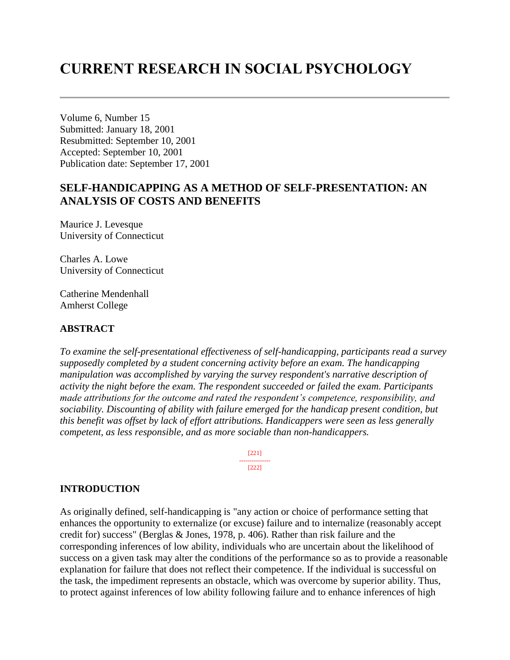# **CURRENT RESEARCH IN SOCIAL PSYCHOLOGY**

Volume 6, Number 15 Submitted: January 18, 2001 Resubmitted: September 10, 2001 Accepted: September 10, 2001 Publication date: September 17, 2001

# **SELF-HANDICAPPING AS A METHOD OF SELF-PRESENTATION: AN ANALYSIS OF COSTS AND BENEFITS**

Maurice J. Levesque University of Connecticut

Charles A. Lowe University of Connecticut

Catherine Mendenhall Amherst College

#### **ABSTRACT**

*To examine the self-presentational effectiveness of self-handicapping, participants read a survey supposedly completed by a student concerning activity before an exam. The handicapping manipulation was accomplished by varying the survey respondent's narrative description of activity the night before the exam. The respondent succeeded or failed the exam. Participants made attributions for the outcome and rated the respondent's competence, responsibility, and sociability. Discounting of ability with failure emerged for the handicap present condition, but this benefit was offset by lack of effort attributions. Handicappers were seen as less generally competent, as less responsible, and as more sociable than non-handicappers.* 

> [221] --------------- [222]

#### **INTRODUCTION**

As originally defined, self-handicapping is "any action or choice of performance setting that enhances the opportunity to externalize (or excuse) failure and to internalize (reasonably accept credit for) success" (Berglas & Jones, 1978, p. 406). Rather than risk failure and the corresponding inferences of low ability, individuals who are uncertain about the likelihood of success on a given task may alter the conditions of the performance so as to provide a reasonable explanation for failure that does not reflect their competence. If the individual is successful on the task, the impediment represents an obstacle, which was overcome by superior ability. Thus, to protect against inferences of low ability following failure and to enhance inferences of high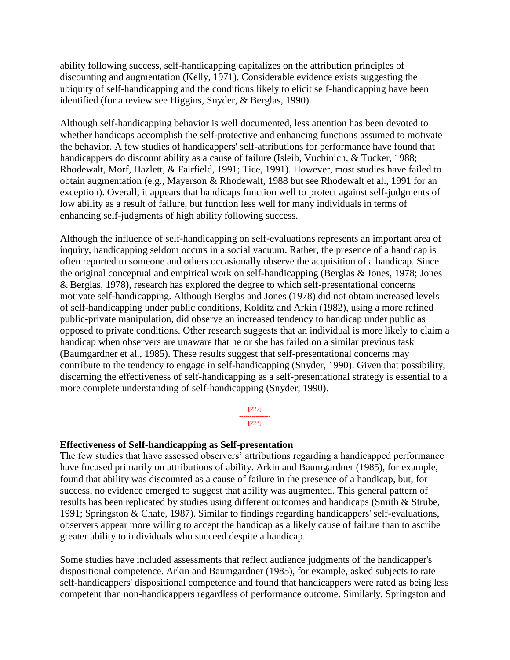ability following success, self-handicapping capitalizes on the attribution principles of discounting and augmentation (Kelly, 1971). Considerable evidence exists suggesting the ubiquity of self-handicapping and the conditions likely to elicit self-handicapping have been identified (for a review see Higgins, Snyder, & Berglas, 1990).

Although self-handicapping behavior is well documented, less attention has been devoted to whether handicaps accomplish the self-protective and enhancing functions assumed to motivate the behavior. A few studies of handicappers' self-attributions for performance have found that handicappers do discount ability as a cause of failure (Isleib, Vuchinich, & Tucker, 1988; Rhodewalt, Morf, Hazlett, & Fairfield, 1991; Tice, 1991). However, most studies have failed to obtain augmentation (e.g., Mayerson & Rhodewalt, 1988 but see Rhodewalt et al., 1991 for an exception). Overall, it appears that handicaps function well to protect against self-judgments of low ability as a result of failure, but function less well for many individuals in terms of enhancing self-judgments of high ability following success.

Although the influence of self-handicapping on self-evaluations represents an important area of inquiry, handicapping seldom occurs in a social vacuum. Rather, the presence of a handicap is often reported to someone and others occasionally observe the acquisition of a handicap. Since the original conceptual and empirical work on self-handicapping (Berglas & Jones, 1978; Jones & Berglas, 1978), research has explored the degree to which self-presentational concerns motivate self-handicapping. Although Berglas and Jones (1978) did not obtain increased levels of self-handicapping under public conditions, Kolditz and Arkin (1982), using a more refined public-private manipulation, did observe an increased tendency to handicap under public as opposed to private conditions. Other research suggests that an individual is more likely to claim a handicap when observers are unaware that he or she has failed on a similar previous task (Baumgardner et al., 1985). These results suggest that self-presentational concerns may contribute to the tendency to engage in self-handicapping (Snyder, 1990). Given that possibility, discerning the effectiveness of self-handicapping as a self-presentational strategy is essential to a more complete understanding of self-handicapping (Snyder, 1990).

> [222] --------------- [223]

#### **Effectiveness of Self-handicapping as Self-presentation**

The few studies that have assessed observers' attributions regarding a handicapped performance have focused primarily on attributions of ability. Arkin and Baumgardner (1985), for example, found that ability was discounted as a cause of failure in the presence of a handicap, but, for success, no evidence emerged to suggest that ability was augmented. This general pattern of results has been replicated by studies using different outcomes and handicaps (Smith & Strube, 1991; Springston & Chafe, 1987). Similar to findings regarding handicappers' self-evaluations, observers appear more willing to accept the handicap as a likely cause of failure than to ascribe greater ability to individuals who succeed despite a handicap.

Some studies have included assessments that reflect audience judgments of the handicapper's dispositional competence. Arkin and Baumgardner (1985), for example, asked subjects to rate self-handicappers' dispositional competence and found that handicappers were rated as being less competent than non-handicappers regardless of performance outcome. Similarly, Springston and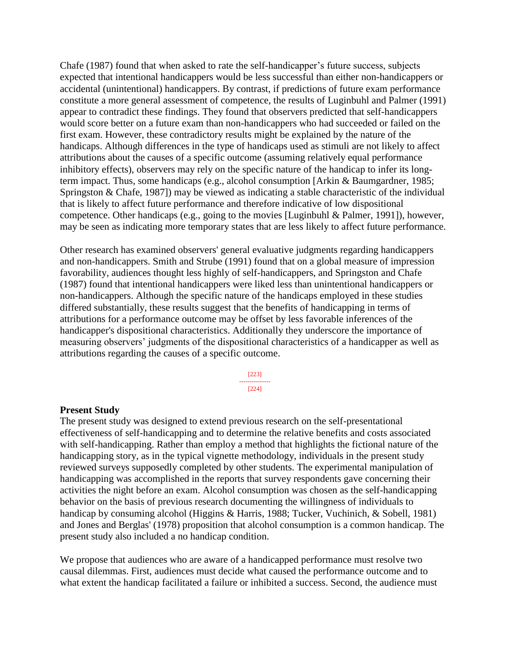Chafe (1987) found that when asked to rate the self-handicapper's future success, subjects expected that intentional handicappers would be less successful than either non-handicappers or accidental (unintentional) handicappers. By contrast, if predictions of future exam performance constitute a more general assessment of competence, the results of Luginbuhl and Palmer (1991) appear to contradict these findings. They found that observers predicted that self-handicappers would score better on a future exam than non-handicappers who had succeeded or failed on the first exam. However, these contradictory results might be explained by the nature of the handicaps. Although differences in the type of handicaps used as stimuli are not likely to affect attributions about the causes of a specific outcome (assuming relatively equal performance inhibitory effects), observers may rely on the specific nature of the handicap to infer its longterm impact. Thus, some handicaps (e.g., alcohol consumption [Arkin & Baumgardner, 1985; Springston & Chafe, 1987]) may be viewed as indicating a stable characteristic of the individual that is likely to affect future performance and therefore indicative of low dispositional competence. Other handicaps (e.g., going to the movies [Luginbuhl & Palmer, 1991]), however, may be seen as indicating more temporary states that are less likely to affect future performance.

Other research has examined observers' general evaluative judgments regarding handicappers and non-handicappers. Smith and Strube (1991) found that on a global measure of impression favorability, audiences thought less highly of self-handicappers, and Springston and Chafe (1987) found that intentional handicappers were liked less than unintentional handicappers or non-handicappers. Although the specific nature of the handicaps employed in these studies differed substantially, these results suggest that the benefits of handicapping in terms of attributions for a performance outcome may be offset by less favorable inferences of the handicapper's dispositional characteristics. Additionally they underscore the importance of measuring observers' judgments of the dispositional characteristics of a handicapper as well as attributions regarding the causes of a specific outcome.

> [223] --------------- [224]

#### **Present Study**

The present study was designed to extend previous research on the self-presentational effectiveness of self-handicapping and to determine the relative benefits and costs associated with self-handicapping. Rather than employ a method that highlights the fictional nature of the handicapping story, as in the typical vignette methodology, individuals in the present study reviewed surveys supposedly completed by other students. The experimental manipulation of handicapping was accomplished in the reports that survey respondents gave concerning their activities the night before an exam. Alcohol consumption was chosen as the self-handicapping behavior on the basis of previous research documenting the willingness of individuals to handicap by consuming alcohol (Higgins & Harris, 1988; Tucker, Vuchinich, & Sobell, 1981) and Jones and Berglas' (1978) proposition that alcohol consumption is a common handicap. The present study also included a no handicap condition.

We propose that audiences who are aware of a handicapped performance must resolve two causal dilemmas. First, audiences must decide what caused the performance outcome and to what extent the handicap facilitated a failure or inhibited a success. Second, the audience must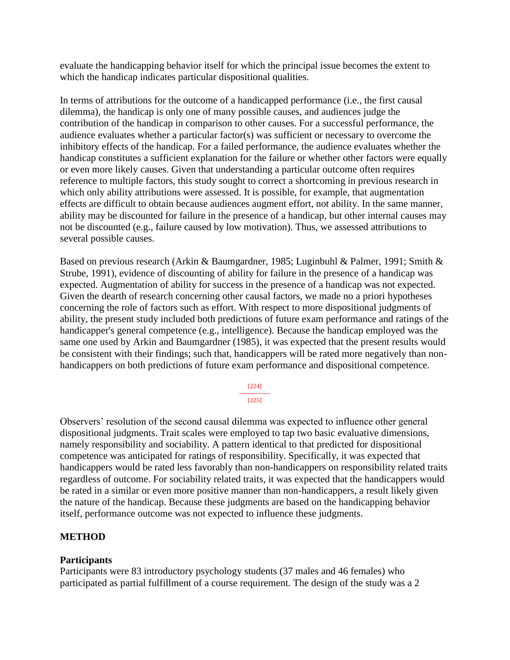evaluate the handicapping behavior itself for which the principal issue becomes the extent to which the handicap indicates particular dispositional qualities.

In terms of attributions for the outcome of a handicapped performance (i.e., the first causal dilemma), the handicap is only one of many possible causes, and audiences judge the contribution of the handicap in comparison to other causes. For a successful performance, the audience evaluates whether a particular factor(s) was sufficient or necessary to overcome the inhibitory effects of the handicap. For a failed performance, the audience evaluates whether the handicap constitutes a sufficient explanation for the failure or whether other factors were equally or even more likely causes. Given that understanding a particular outcome often requires reference to multiple factors, this study sought to correct a shortcoming in previous research in which only ability attributions were assessed. It is possible, for example, that augmentation effects are difficult to obtain because audiences augment effort, not ability. In the same manner, ability may be discounted for failure in the presence of a handicap, but other internal causes may not be discounted (e.g., failure caused by low motivation). Thus, we assessed attributions to several possible causes.

Based on previous research (Arkin & Baumgardner, 1985; Luginbuhl & Palmer, 1991; Smith & Strube, 1991), evidence of discounting of ability for failure in the presence of a handicap was expected. Augmentation of ability for success in the presence of a handicap was not expected. Given the dearth of research concerning other causal factors, we made no a priori hypotheses concerning the role of factors such as effort. With respect to more dispositional judgments of ability, the present study included both predictions of future exam performance and ratings of the handicapper's general competence (e.g., intelligence). Because the handicap employed was the same one used by Arkin and Baumgardner (1985), it was expected that the present results would be consistent with their findings; such that, handicappers will be rated more negatively than nonhandicappers on both predictions of future exam performance and dispositional competence.

> [224] --------------- [225]

Observers' resolution of the second causal dilemma was expected to influence other general dispositional judgments. Trait scales were employed to tap two basic evaluative dimensions, namely responsibility and sociability. A pattern identical to that predicted for dispositional competence was anticipated for ratings of responsibility. Specifically, it was expected that handicappers would be rated less favorably than non-handicappers on responsibility related traits regardless of outcome. For sociability related traits, it was expected that the handicappers would be rated in a similar or even more positive manner than non-handicappers, a result likely given the nature of the handicap. Because these judgments are based on the handicapping behavior itself, performance outcome was not expected to influence these judgments.

#### **METHOD**

#### **Participants**

Participants were 83 introductory psychology students (37 males and 46 females) who participated as partial fulfillment of a course requirement. The design of the study was a 2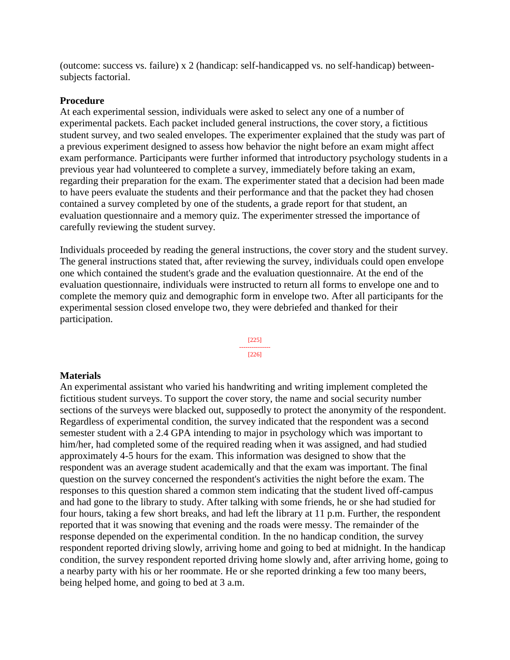(outcome: success vs. failure) x 2 (handicap: self-handicapped vs. no self-handicap) betweensubjects factorial.

#### **Procedure**

At each experimental session, individuals were asked to select any one of a number of experimental packets. Each packet included general instructions, the cover story, a fictitious student survey, and two sealed envelopes. The experimenter explained that the study was part of a previous experiment designed to assess how behavior the night before an exam might affect exam performance. Participants were further informed that introductory psychology students in a previous year had volunteered to complete a survey, immediately before taking an exam, regarding their preparation for the exam. The experimenter stated that a decision had been made to have peers evaluate the students and their performance and that the packet they had chosen contained a survey completed by one of the students, a grade report for that student, an evaluation questionnaire and a memory quiz. The experimenter stressed the importance of carefully reviewing the student survey.

Individuals proceeded by reading the general instructions, the cover story and the student survey. The general instructions stated that, after reviewing the survey, individuals could open envelope one which contained the student's grade and the evaluation questionnaire. At the end of the evaluation questionnaire, individuals were instructed to return all forms to envelope one and to complete the memory quiz and demographic form in envelope two. After all participants for the experimental session closed envelope two, they were debriefed and thanked for their participation.



#### **Materials**

An experimental assistant who varied his handwriting and writing implement completed the fictitious student surveys. To support the cover story, the name and social security number sections of the surveys were blacked out, supposedly to protect the anonymity of the respondent. Regardless of experimental condition, the survey indicated that the respondent was a second semester student with a 2.4 GPA intending to major in psychology which was important to him/her, had completed some of the required reading when it was assigned, and had studied approximately 4-5 hours for the exam. This information was designed to show that the respondent was an average student academically and that the exam was important. The final question on the survey concerned the respondent's activities the night before the exam. The responses to this question shared a common stem indicating that the student lived off-campus and had gone to the library to study. After talking with some friends, he or she had studied for four hours, taking a few short breaks, and had left the library at 11 p.m. Further, the respondent reported that it was snowing that evening and the roads were messy. The remainder of the response depended on the experimental condition. In the no handicap condition, the survey respondent reported driving slowly, arriving home and going to bed at midnight. In the handicap condition, the survey respondent reported driving home slowly and, after arriving home, going to a nearby party with his or her roommate. He or she reported drinking a few too many beers, being helped home, and going to bed at 3 a.m.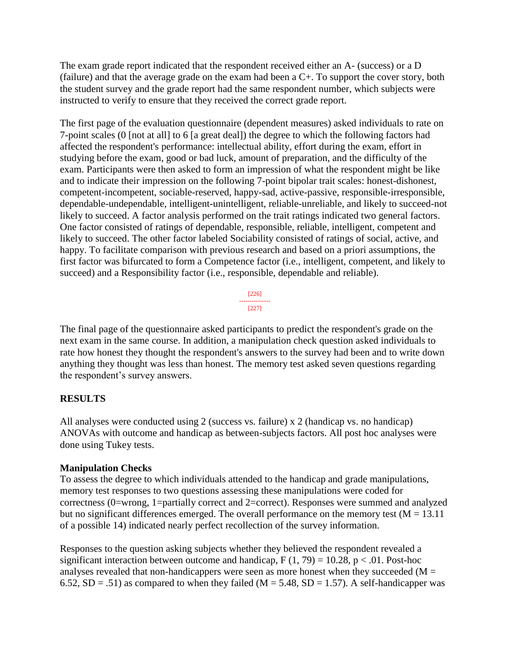The exam grade report indicated that the respondent received either an A- (success) or a D (failure) and that the average grade on the exam had been a C+. To support the cover story, both the student survey and the grade report had the same respondent number, which subjects were instructed to verify to ensure that they received the correct grade report.

The first page of the evaluation questionnaire (dependent measures) asked individuals to rate on 7-point scales (0 [not at all] to 6 [a great deal]) the degree to which the following factors had affected the respondent's performance: intellectual ability, effort during the exam, effort in studying before the exam, good or bad luck, amount of preparation, and the difficulty of the exam. Participants were then asked to form an impression of what the respondent might be like and to indicate their impression on the following 7-point bipolar trait scales: honest-dishonest, competent-incompetent, sociable-reserved, happy-sad, active-passive, responsible-irresponsible, dependable-undependable, intelligent-unintelligent, reliable-unreliable, and likely to succeed-not likely to succeed. A factor analysis performed on the trait ratings indicated two general factors. One factor consisted of ratings of dependable, responsible, reliable, intelligent, competent and likely to succeed. The other factor labeled Sociability consisted of ratings of social, active, and happy. To facilitate comparison with previous research and based on a priori assumptions, the first factor was bifurcated to form a Competence factor (i.e., intelligent, competent, and likely to succeed) and a Responsibility factor (i.e., responsible, dependable and reliable).

> [226] --------------- [227]

The final page of the questionnaire asked participants to predict the respondent's grade on the next exam in the same course. In addition, a manipulation check question asked individuals to rate how honest they thought the respondent's answers to the survey had been and to write down anything they thought was less than honest. The memory test asked seven questions regarding the respondent's survey answers.

# **RESULTS**

All analyses were conducted using 2 (success vs. failure) x 2 (handicap vs. no handicap) ANOVAs with outcome and handicap as between-subjects factors. All post hoc analyses were done using Tukey tests.

# **Manipulation Checks**

To assess the degree to which individuals attended to the handicap and grade manipulations, memory test responses to two questions assessing these manipulations were coded for correctness (0=wrong, 1=partially correct and 2=correct). Responses were summed and analyzed but no significant differences emerged. The overall performance on the memory test ( $M = 13.11$ ) of a possible 14) indicated nearly perfect recollection of the survey information.

Responses to the question asking subjects whether they believed the respondent revealed a significant interaction between outcome and handicap,  $F(1, 79) = 10.28$ ,  $p < .01$ . Post-hoc analyses revealed that non-handicappers were seen as more honest when they succeeded ( $M =$ 6.52,  $SD = .51$ ) as compared to when they failed (M = 5.48,  $SD = 1.57$ ). A self-handicapper was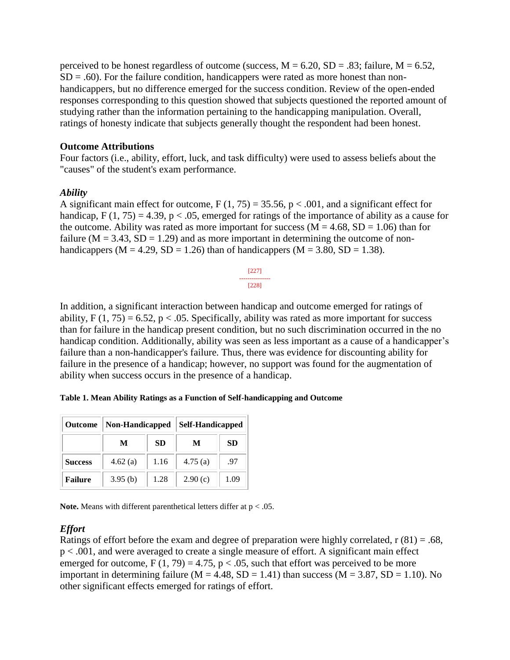perceived to be honest regardless of outcome (success,  $M = 6.20$ ,  $SD = .83$ ; failure,  $M = 6.52$ ,  $SD = .60$ ). For the failure condition, handicappers were rated as more honest than nonhandicappers, but no difference emerged for the success condition. Review of the open-ended responses corresponding to this question showed that subjects questioned the reported amount of studying rather than the information pertaining to the handicapping manipulation. Overall, ratings of honesty indicate that subjects generally thought the respondent had been honest.

#### **Outcome Attributions**

Four factors (i.e., ability, effort, luck, and task difficulty) were used to assess beliefs about the "causes" of the student's exam performance.

#### *Ability*

A significant main effect for outcome,  $F(1, 75) = 35.56$ ,  $p < .001$ , and a significant effect for handicap,  $F(1, 75) = 4.39$ ,  $p < .05$ , emerged for ratings of the importance of ability as a cause for the outcome. Ability was rated as more important for success ( $M = 4.68$ ,  $SD = 1.06$ ) than for failure ( $M = 3.43$ ,  $SD = 1.29$ ) and as more important in determining the outcome of nonhandicappers ( $M = 4.29$ ,  $SD = 1.26$ ) than of handicappers ( $M = 3.80$ ,  $SD = 1.38$ ).

> [227] --------------- [228]

In addition, a significant interaction between handicap and outcome emerged for ratings of ability,  $F(1, 75) = 6.52$ ,  $p < .05$ . Specifically, ability was rated as more important for success than for failure in the handicap present condition, but no such discrimination occurred in the no handicap condition. Additionally, ability was seen as less important as a cause of a handicapper's failure than a non-handicapper's failure. Thus, there was evidence for discounting ability for failure in the presence of a handicap; however, no support was found for the augmentation of ability when success occurs in the presence of a handicap.

**Table 1. Mean Ability Ratings as a Function of Self-handicapping and Outcome**

| <b>Outcome</b> | Non-Handicapped |           | <b>Self-Handicapped</b> |      |
|----------------|-----------------|-----------|-------------------------|------|
|                | M               | <b>SD</b> | М                       | SD   |
| <b>Success</b> | 4.62(a)         | 1.16      | 4.75(a)                 | .97  |
| <b>Failure</b> | 3.95(b)         | 1.28      | 2.90(c)                 | 1.09 |

**Note.** Means with different parenthetical letters differ at p < .05.

#### *Effort*

Ratings of effort before the exam and degree of preparation were highly correlated,  $r(81) = .68$ , p < .001, and were averaged to create a single measure of effort. A significant main effect emerged for outcome,  $F(1, 79) = 4.75$ ,  $p < .05$ , such that effort was perceived to be more important in determining failure ( $M = 4.48$ ,  $SD = 1.41$ ) than success ( $M = 3.87$ ,  $SD = 1.10$ ). No other significant effects emerged for ratings of effort.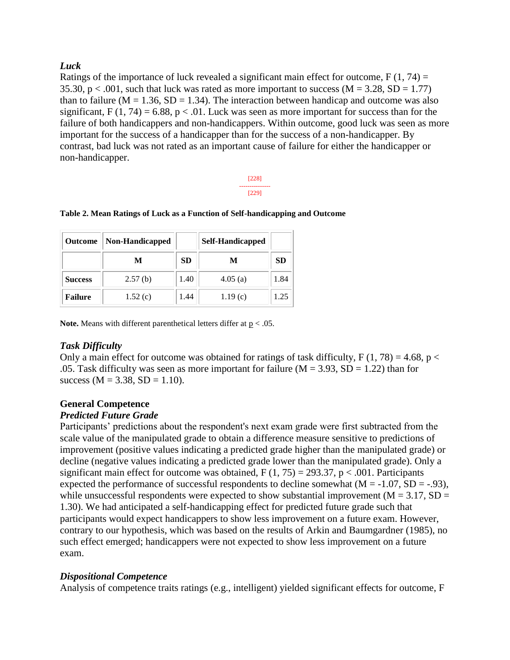### *Luck*

Ratings of the importance of luck revealed a significant main effect for outcome,  $F(1, 74) =$ 35.30,  $p < .001$ , such that luck was rated as more important to success ( $M = 3.28$ , SD = 1.77) than to failure ( $M = 1.36$ ,  $SD = 1.34$ ). The interaction between handicap and outcome was also significant,  $F(1, 74) = 6.88$ ,  $p < .01$ . Luck was seen as more important for success than for the failure of both handicappers and non-handicappers. Within outcome, good luck was seen as more important for the success of a handicapper than for the success of a non-handicapper. By contrast, bad luck was not rated as an important cause of failure for either the handicapper or non-handicapper.

> [228] --------------- [229]

#### **Table 2. Mean Ratings of Luck as a Function of Self-handicapping and Outcome**

| <b>Outcome</b> | Non-Handicapped |           | <b>Self-Handicapped</b> |           |
|----------------|-----------------|-----------|-------------------------|-----------|
|                | М               | <b>SD</b> | M                       | <b>SD</b> |
| <b>Success</b> | 2.57(b)         | 1.40      | 4.05(a)                 | 1.84      |
| <b>Failure</b> | 1.52(c)         | 1.44      | 1.19(c)                 | 1.25      |

**Note.** Means with different parenthetical letters differ at p < .05.

# *Task Difficulty*

Only a main effect for outcome was obtained for ratings of task difficulty,  $F(1, 78) = 4.68$ ,  $p <$ .05. Task difficulty was seen as more important for failure ( $M = 3.93$ ,  $SD = 1.22$ ) than for success ( $M = 3.38$ ,  $SD = 1.10$ ).

#### **General Competence**

#### *Predicted Future Grade*

Participants' predictions about the respondent's next exam grade were first subtracted from the scale value of the manipulated grade to obtain a difference measure sensitive to predictions of improvement (positive values indicating a predicted grade higher than the manipulated grade) or decline (negative values indicating a predicted grade lower than the manipulated grade). Only a significant main effect for outcome was obtained,  $F(1, 75) = 293.37$ ,  $p < .001$ . Participants expected the performance of successful respondents to decline somewhat  $(M = -1.07, SD = -0.93)$ , while unsuccessful respondents were expected to show substantial improvement ( $M = 3.17$ ,  $SD =$ 1.30). We had anticipated a self-handicapping effect for predicted future grade such that participants would expect handicappers to show less improvement on a future exam. However, contrary to our hypothesis, which was based on the results of Arkin and Baumgardner (1985), no such effect emerged; handicappers were not expected to show less improvement on a future exam.

# *Dispositional Competence*

Analysis of competence traits ratings (e.g., intelligent) yielded significant effects for outcome, F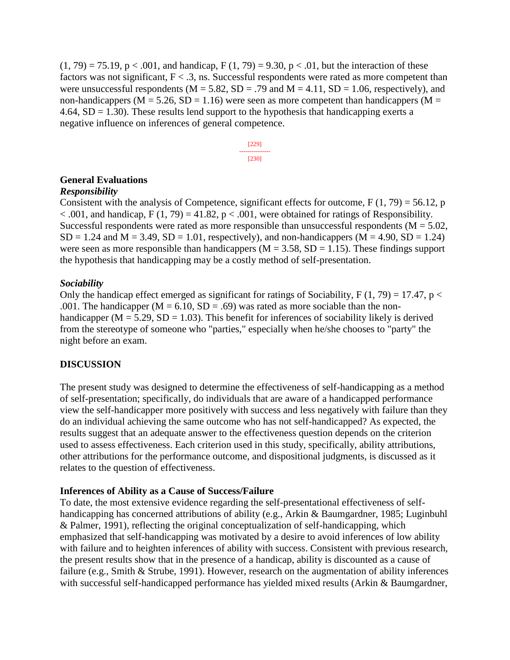$(1, 79) = 75.19$ , p < .001, and handicap, F  $(1, 79) = 9.30$ , p < .01, but the interaction of these factors was not significant,  $F < .3$ , ns. Successful respondents were rated as more competent than were unsuccessful respondents ( $M = 5.82$ ,  $SD = .79$  and  $M = 4.11$ ,  $SD = 1.06$ , respectively), and non-handicappers ( $M = 5.26$ ,  $SD = 1.16$ ) were seen as more competent than handicappers ( $M =$ 4.64,  $SD = 1.30$ ). These results lend support to the hypothesis that handicapping exerts a negative influence on inferences of general competence.



#### **General Evaluations**

#### *Responsibility*

Consistent with the analysis of Competence, significant effects for outcome,  $F(1, 79) = 56.12$ , p  $< .001$ , and handicap, F (1, 79) = 41.82, p  $< .001$ , were obtained for ratings of Responsibility. Successful respondents were rated as more responsible than unsuccessful respondents ( $M = 5.02$ ,  $SD = 1.24$  and  $M = 3.49$ ,  $SD = 1.01$ , respectively), and non-handicappers ( $M = 4.90$ ,  $SD = 1.24$ ) were seen as more responsible than handicappers ( $M = 3.58$ ,  $SD = 1.15$ ). These findings support the hypothesis that handicapping may be a costly method of self-presentation.

#### *Sociability*

Only the handicap effect emerged as significant for ratings of Sociability,  $F(1, 79) = 17.47$ ,  $p <$ .001. The handicapper  $(M = 6.10, SD = .69)$  was rated as more sociable than the nonhandicapper ( $M = 5.29$ ,  $SD = 1.03$ ). This benefit for inferences of sociability likely is derived from the stereotype of someone who "parties," especially when he/she chooses to "party" the night before an exam.

#### **DISCUSSION**

The present study was designed to determine the effectiveness of self-handicapping as a method of self-presentation; specifically, do individuals that are aware of a handicapped performance view the self-handicapper more positively with success and less negatively with failure than they do an individual achieving the same outcome who has not self-handicapped? As expected, the results suggest that an adequate answer to the effectiveness question depends on the criterion used to assess effectiveness. Each criterion used in this study, specifically, ability attributions, other attributions for the performance outcome, and dispositional judgments, is discussed as it relates to the question of effectiveness.

#### **Inferences of Ability as a Cause of Success/Failure**

To date, the most extensive evidence regarding the self-presentational effectiveness of selfhandicapping has concerned attributions of ability (e.g., Arkin & Baumgardner, 1985; Luginbuhl & Palmer, 1991), reflecting the original conceptualization of self-handicapping, which emphasized that self-handicapping was motivated by a desire to avoid inferences of low ability with failure and to heighten inferences of ability with success. Consistent with previous research, the present results show that in the presence of a handicap, ability is discounted as a cause of failure (e.g., Smith & Strube, 1991). However, research on the augmentation of ability inferences with successful self-handicapped performance has yielded mixed results (Arkin & Baumgardner,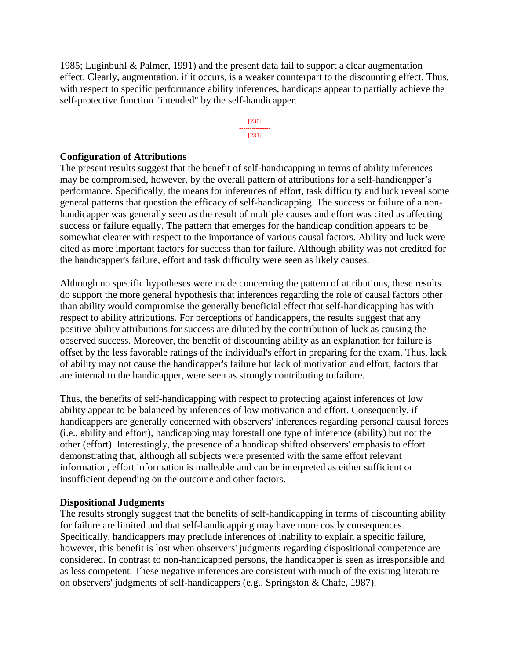1985; Luginbuhl & Palmer, 1991) and the present data fail to support a clear augmentation effect. Clearly, augmentation, if it occurs, is a weaker counterpart to the discounting effect. Thus, with respect to specific performance ability inferences, handicaps appear to partially achieve the self-protective function "intended" by the self-handicapper.

> [230] --------------- [231]

#### **Configuration of Attributions**

The present results suggest that the benefit of self-handicapping in terms of ability inferences may be compromised, however, by the overall pattern of attributions for a self-handicapper's performance. Specifically, the means for inferences of effort, task difficulty and luck reveal some general patterns that question the efficacy of self-handicapping. The success or failure of a nonhandicapper was generally seen as the result of multiple causes and effort was cited as affecting success or failure equally. The pattern that emerges for the handicap condition appears to be somewhat clearer with respect to the importance of various causal factors. Ability and luck were cited as more important factors for success than for failure. Although ability was not credited for the handicapper's failure, effort and task difficulty were seen as likely causes.

Although no specific hypotheses were made concerning the pattern of attributions, these results do support the more general hypothesis that inferences regarding the role of causal factors other than ability would compromise the generally beneficial effect that self-handicapping has with respect to ability attributions. For perceptions of handicappers, the results suggest that any positive ability attributions for success are diluted by the contribution of luck as causing the observed success. Moreover, the benefit of discounting ability as an explanation for failure is offset by the less favorable ratings of the individual's effort in preparing for the exam. Thus, lack of ability may not cause the handicapper's failure but lack of motivation and effort, factors that are internal to the handicapper, were seen as strongly contributing to failure.

Thus, the benefits of self-handicapping with respect to protecting against inferences of low ability appear to be balanced by inferences of low motivation and effort. Consequently, if handicappers are generally concerned with observers' inferences regarding personal causal forces (i.e., ability and effort), handicapping may forestall one type of inference (ability) but not the other (effort). Interestingly, the presence of a handicap shifted observers' emphasis to effort demonstrating that, although all subjects were presented with the same effort relevant information, effort information is malleable and can be interpreted as either sufficient or insufficient depending on the outcome and other factors.

#### **Dispositional Judgments**

The results strongly suggest that the benefits of self-handicapping in terms of discounting ability for failure are limited and that self-handicapping may have more costly consequences. Specifically, handicappers may preclude inferences of inability to explain a specific failure, however, this benefit is lost when observers' judgments regarding dispositional competence are considered. In contrast to non-handicapped persons, the handicapper is seen as irresponsible and as less competent. These negative inferences are consistent with much of the existing literature on observers' judgments of self-handicappers (e.g., Springston & Chafe, 1987).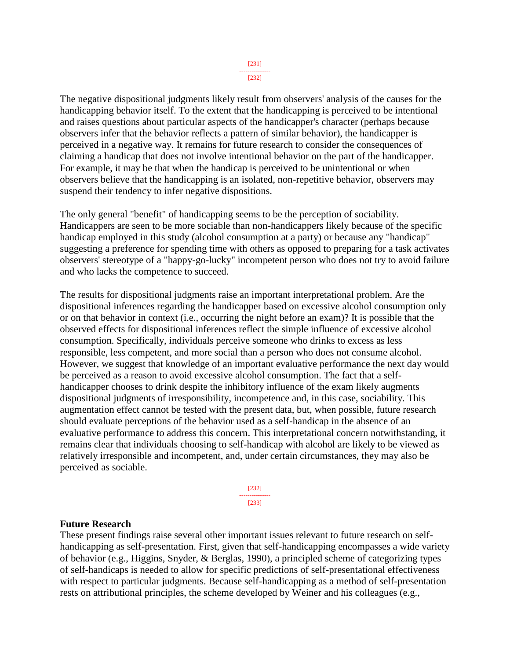The negative dispositional judgments likely result from observers' analysis of the causes for the handicapping behavior itself. To the extent that the handicapping is perceived to be intentional and raises questions about particular aspects of the handicapper's character (perhaps because observers infer that the behavior reflects a pattern of similar behavior), the handicapper is perceived in a negative way. It remains for future research to consider the consequences of claiming a handicap that does not involve intentional behavior on the part of the handicapper. For example, it may be that when the handicap is perceived to be unintentional or when observers believe that the handicapping is an isolated, non-repetitive behavior, observers may suspend their tendency to infer negative dispositions.

The only general "benefit" of handicapping seems to be the perception of sociability. Handicappers are seen to be more sociable than non-handicappers likely because of the specific handicap employed in this study (alcohol consumption at a party) or because any "handicap" suggesting a preference for spending time with others as opposed to preparing for a task activates observers' stereotype of a "happy-go-lucky" incompetent person who does not try to avoid failure and who lacks the competence to succeed.

The results for dispositional judgments raise an important interpretational problem. Are the dispositional inferences regarding the handicapper based on excessive alcohol consumption only or on that behavior in context (i.e., occurring the night before an exam)? It is possible that the observed effects for dispositional inferences reflect the simple influence of excessive alcohol consumption. Specifically, individuals perceive someone who drinks to excess as less responsible, less competent, and more social than a person who does not consume alcohol. However, we suggest that knowledge of an important evaluative performance the next day would be perceived as a reason to avoid excessive alcohol consumption. The fact that a selfhandicapper chooses to drink despite the inhibitory influence of the exam likely augments dispositional judgments of irresponsibility, incompetence and, in this case, sociability. This augmentation effect cannot be tested with the present data, but, when possible, future research should evaluate perceptions of the behavior used as a self-handicap in the absence of an evaluative performance to address this concern. This interpretational concern notwithstanding, it remains clear that individuals choosing to self-handicap with alcohol are likely to be viewed as relatively irresponsible and incompetent, and, under certain circumstances, they may also be perceived as sociable.

> [232] --------------- [233]

#### **Future Research**

These present findings raise several other important issues relevant to future research on selfhandicapping as self-presentation. First, given that self-handicapping encompasses a wide variety of behavior (e.g., Higgins, Snyder, & Berglas, 1990), a principled scheme of categorizing types of self-handicaps is needed to allow for specific predictions of self-presentational effectiveness with respect to particular judgments. Because self-handicapping as a method of self-presentation rests on attributional principles, the scheme developed by Weiner and his colleagues (e.g.,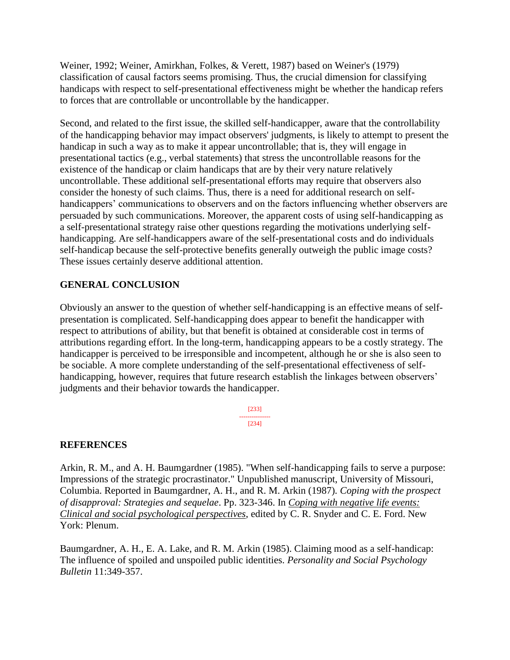Weiner, 1992; Weiner, Amirkhan, Folkes, & Verett, 1987) based on Weiner's (1979) classification of causal factors seems promising. Thus, the crucial dimension for classifying handicaps with respect to self-presentational effectiveness might be whether the handicap refers to forces that are controllable or uncontrollable by the handicapper.

Second, and related to the first issue, the skilled self-handicapper, aware that the controllability of the handicapping behavior may impact observers' judgments, is likely to attempt to present the handicap in such a way as to make it appear uncontrollable; that is, they will engage in presentational tactics (e.g., verbal statements) that stress the uncontrollable reasons for the existence of the handicap or claim handicaps that are by their very nature relatively uncontrollable. These additional self-presentational efforts may require that observers also consider the honesty of such claims. Thus, there is a need for additional research on selfhandicappers' communications to observers and on the factors influencing whether observers are persuaded by such communications. Moreover, the apparent costs of using self-handicapping as a self-presentational strategy raise other questions regarding the motivations underlying selfhandicapping. Are self-handicappers aware of the self-presentational costs and do individuals self-handicap because the self-protective benefits generally outweigh the public image costs? These issues certainly deserve additional attention.

# **GENERAL CONCLUSION**

Obviously an answer to the question of whether self-handicapping is an effective means of selfpresentation is complicated. Self-handicapping does appear to benefit the handicapper with respect to attributions of ability, but that benefit is obtained at considerable cost in terms of attributions regarding effort. In the long-term, handicapping appears to be a costly strategy. The handicapper is perceived to be irresponsible and incompetent, although he or she is also seen to be sociable. A more complete understanding of the self-presentational effectiveness of selfhandicapping, however, requires that future research establish the linkages between observers' judgments and their behavior towards the handicapper.

> [233] --------------- [234]

# **REFERENCES**

Arkin, R. M., and A. H. Baumgardner (1985). "When self-handicapping fails to serve a purpose: Impressions of the strategic procrastinator." Unpublished manuscript, University of Missouri, Columbia. Reported in Baumgardner, A. H., and R. M. Arkin (1987). *Coping with the prospect of disapproval: Strategies and sequelae*. Pp. 323-346. In *Coping with negative life events: Clinical and social psychological perspectives*, edited by C. R. Snyder and C. E. Ford. New York: Plenum.

Baumgardner, A. H., E. A. Lake, and R. M. Arkin (1985). Claiming mood as a self-handicap: The influence of spoiled and unspoiled public identities. *Personality and Social Psychology Bulletin* 11:349-357.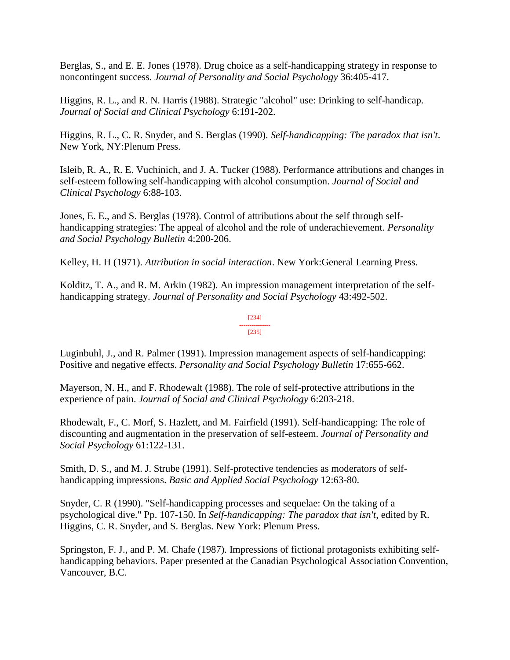Berglas, S., and E. E. Jones (1978). Drug choice as a self-handicapping strategy in response to noncontingent success. *Journal of Personality and Social Psychology* 36:405-417.

Higgins, R. L., and R. N. Harris (1988). Strategic "alcohol" use: Drinking to self-handicap. *Journal of Social and Clinical Psychology* 6:191-202.

Higgins, R. L., C. R. Snyder, and S. Berglas (1990). *Self-handicapping: The paradox that isn't*. New York, NY:Plenum Press.

Isleib, R. A., R. E. Vuchinich, and J. A. Tucker (1988). Performance attributions and changes in self-esteem following self-handicapping with alcohol consumption. *Journal of Social and Clinical Psychology* 6:88-103.

Jones, E. E., and S. Berglas (1978). Control of attributions about the self through selfhandicapping strategies: The appeal of alcohol and the role of underachievement. *Personality and Social Psychology Bulletin* 4:200-206.

Kelley, H. H (1971). *Attribution in social interaction*. New York:General Learning Press.

Kolditz, T. A., and R. M. Arkin (1982). An impression management interpretation of the selfhandicapping strategy. *Journal of Personality and Social Psychology* 43:492-502.

#### [234] --------------- [235]

Luginbuhl, J., and R. Palmer (1991). Impression management aspects of self-handicapping: Positive and negative effects. *Personality and Social Psychology Bulletin* 17:655-662.

Mayerson, N. H., and F. Rhodewalt (1988). The role of self-protective attributions in the experience of pain. *Journal of Social and Clinical Psychology* 6:203-218.

Rhodewalt, F., C. Morf, S. Hazlett, and M. Fairfield (1991). Self-handicapping: The role of discounting and augmentation in the preservation of self-esteem. *Journal of Personality and Social Psychology* 61:122-131.

Smith, D. S., and M. J. Strube (1991). Self-protective tendencies as moderators of selfhandicapping impressions. *Basic and Applied Social Psychology* 12:63-80.

Snyder, C. R (1990). "Self-handicapping processes and sequelae: On the taking of a psychological dive." Pp. 107-150. In *Self-handicapping: The paradox that isn't*, edited by R. Higgins, C. R. Snyder, and S. Berglas. New York: Plenum Press.

Springston, F. J., and P. M. Chafe (1987). Impressions of fictional protagonists exhibiting selfhandicapping behaviors. Paper presented at the Canadian Psychological Association Convention, Vancouver, B.C.